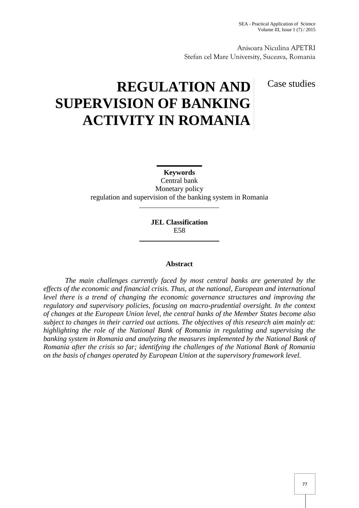Anisoara Niculina APETRI Stefan cel Mare University, Suceava, Romania

## Case studies

# **REGULATION AND SUPERVISION OF BANKING ACTIVITY IN ROMANIA**

**Keywords**

Central bank Monetary policy regulation and supervision of the banking system in Romania

> **JEL Classification** E58

## **Abstract**

*The main challenges currently faced by most central banks are generated by the effects of the economic and financial crisis. Thus, at the national, European and international level there is a trend of changing the economic governance structures and improving the regulatory and supervisory policies, focusing on macro-prudential oversight. In the context of changes at the European Union level, the central banks of the Member States become also subject to changes in their carried out actions. The objectives of this research aim mainly at: highlighting the role of the National Bank of Romania in regulating and supervising the banking system in Romania and analyzing the measures implemented by the National Bank of Romania after the crisis so far; identifying the challenges of the National Bank of Romania on the basis of changes operated by European Union at the supervisory framework level.*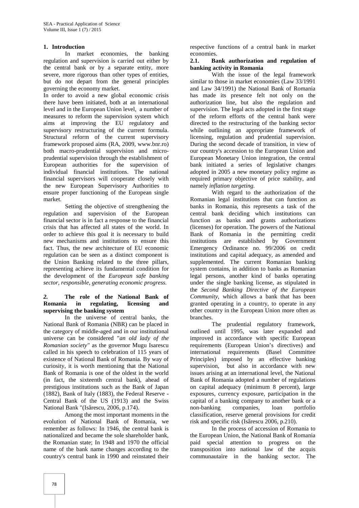## **1. Introduction**

In market economies, the banking regulation and supervision is carried out either by 2.1. the central bank or by a separate entity, more severe, more rigorous than other types of entities, but do not depart from the general principles governing the economy market.

In order to avoid a new global economic crisis there have been initiated, both at an international level and in the European Union level, a number of measures to reform the supervision system which aims at improving the EU regulatory and supervisory restructuring of the current formula. Structural reform of the current supervisory framework proposed aims (RA, 2009, www.bnr.ro) both macro-prudential supervision and micro prudential supervision through the establishment of European authorities for the supervision of individual financial institutions. The national financial supervisors will cooperate closely with the new European Supervisory Authorities to ensure proper functioning of the European single market.

Setting the objective of strengthening the regulation and supervision of the European financial sector is in fact a response to the financial crisis that has affected all states of the world. In order to achieve this goal it is necessary to build new mechanisms and institutions to ensure this fact. Thus, the new architecture of EU economic regulation can be seen as a distinct component is the Union Banking related to the three pillars, representing achieve its fundamental condition for the development of the *European safe banking sector, responsible, generating economic progress.*

## *2.* **The role of the National Bank of Romania in regulating, licensing and supervising the banking system**

In the universe of central banks, the National Bank of Romania (NBR) can be placed in the category of middle-aged and in our institutional universe can be considered "*an old lady of the Romanian society"* as the governor Mugu Isarescu called in his speech to celebration of 115 years of existence of National Bank of Romania. By way of curiosity, it is worth mentioning that the National Bank of Romania is one of the oldest in the world (in fact, the sixteenth central bank), ahead of prestigious institutions such as the Bank of Japan (1882), Bank of Italy (1883), the Federal Reserve - Central Bank of the US (1913) and the Swiss National Bank "(Is rescu, 2006, p.174).

Among the most important moments in the evolution of National Bank of Romania, we remember as follows: In 1946, the central bank is nationalized and became the sole shareholder bank, the Romanian state; In 1948 and 1970 the official name of the bank name changes according to the country's central bank in 1990 and reinstated their respective functions of a central bank in market economies.

#### **2.1. Bank authorization and regulation of banking activity in Romania**

With the issue of the legal framework similar to those in market economies (Law 33/1991 and Law 34/1991) the National Bank of Romania has made its presence felt not only on the authorization line, but also the regulation and supervision. The legal acts adopted in the first stage of the reform efforts of the central bank were directed to the restructuring of the banking sector while outlining an appropriate framework of licensing, regulation and prudential supervision. During the second decade of transition, in view of our country's accession to the European Union and European Monetary Union integration, the central bank initiated a series of legislative changes adopted in 2005 a new monetary policy regime as required primary objective of price stability, and namely *inflation targeting.*

With regard to the authorization of the Romanian legal institutions that can function as banks in Romania, this represents a task of the central bank deciding which institutions can function as banks and grants authorizations (licenses) for operation. The powers of the National Bank of Romania in the permitting credit institutions are established by Government Emergency Ordinance no. 99/2006 on credit institutions and capital adequacy, as amended and supplemented. The current Romanian banking system contains, in addition to banks as Romanian legal persons, another kind of banks operating under the single banking license, as stipulated in the *Second Banking Directive of the European Community*, which allows a bank that has been granted operating in a country, to operate in any other country in the European Union more often as branches.

The prudential regulatory framework, outlined until 1995, was later expanded and improved in accordance with specific European requirements (European Union's directives) and international requirements (Basel Committee Principles) imposed by an effective banking supervision, but also in accordance with new issues arising at an international level, the National Bank of Romania adopted a number of regulations on capital adequacy (minimum 8 percent), large exposures, currency exposure, participation in the capital of a banking company to another bank or a non-banking companies, loan portfolio classification, reserve general provisions for credit risk and specific risk (Is rescu  $2006$ , p.210).

In the process of accession of Romania to the European Union, the National Bank of Romania paid special attention to progress on the transposition into national law of the acquis communautaire in the banking sector. The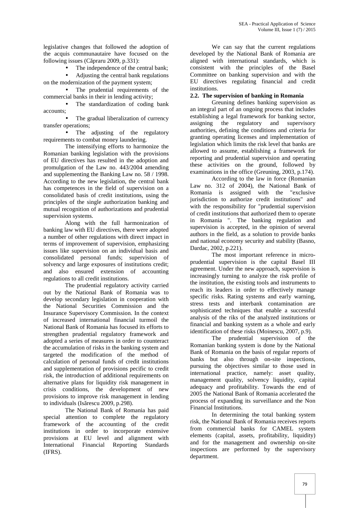legislative changes that followed the adoption of the acquis communautaire have focused on the following issues (C praru 2009, p.331):

The independence of the central bank;

 Adjusting the central bank regulations on the modernization of the payment system;

 The prudential requirements of the commercial banks in their in lending activity;

 The standardization of coding bank accounts;

The gradual liberalization of currency<br>assigning<br>assigning transfer operations;

 The adjusting of the regulatory requirements to combat money laundering.

The intensifying efforts to harmonize the Romanian banking legislation with the provisions of EU directives has resulted in the adoption and promulgation of the Law no. 443/2004 amending and supplementing the Banking Law no. 58 / 1998. According to the new legislation, the central bank has competences in the field of supervision on a consolidated basis of credit institutions, using the principles of the single authorization banking and mutual recognition of authorizations and prudential supervision systems.

Along with the full harmonization of banking law with EU directives, there were adopted a number of other regulations with direct impact in terms of improvement of supervision, emphasizing issues like supervision on an individual basis and consolidated personal funds; supervision of solvency and large exposures of institutions credit; and also ensured extension of accounting regulations to all credit institutions.

The prudential regulatory activity carried out by the National Bank of Romania was to develop secondary legislation in cooperation with the National Securities Commission and the Insurance Supervisory Commission. In the context of increased international financial turmoil the National Bank of Romania has focused its efforts to strengthen prudential regulatory framework and adopted a series of measures in order to counteract the accumulation of risks in the banking system and targeted the modification of the method of calculation of personal funds of credit institutions and supplementation of provisions pecific to credit risk, the introduction of additional requirements on alternative plans for liquidity risk management in crisis conditions, the development of new provisions to improve risk management in lending to individuals (Is  $r$ escu 2009, p.298).

The National Bank of Romania has paid special attention to complete the regulatory framework of the accounting of the credit institutions in order to incorporate extensive provisions at EU level and alignment with International Financial Reporting Standards (IFRS).

We can say that the current regulations developed by the National Bank of Romania are aligned with international standards, which is consistent with the principles of the Basel Committee on banking supervision and with the EU directives regulating financial and credit institutions.

## **2.2. The supervision of banking in Romania**

Greuning defines banking supervision as an integral part of an ongoing process that includes establishing a legal framework for banking sector, the regulatory and supervisory authorities, defining the conditions and criteria for granting operating licenses and implementation of legislation which limits the risk level that banks are allowed to assume, establishing a framework for reporting and prudential supervision and operating these activities on the ground, followed by examinations in the office (Greuning, 2003, p.174).

According to the law in force (Romanian Law no. 312 of 2004), the National Bank of Romania is assigned with the "exclusive jurisdiction to authorize credit institutions" and with the responsibility for "prudential supervision of credit institutions that authorized them to operate in Romania ". The banking regulation and supervision is accepted, in the opinion of several authors in the field, as a solution to provide banks and national economy security and stability (Basno, Dardac, 2002, p.221).

The most important reference in micro prudential supervision is the capital Basel III agreement. Under the new approach, supervision is increasingly turning to analyze the risk profile of the institution, the existing tools and instruments to reach its leaders in order to effectively manage specific risks. Rating systems and early warning, stress tests and interbank contamination are sophisticated techniques that enable a successful analysis of the riks of the analyzed institutions or financial and banking system as a whole and early identification of these risks (Moinescu, 2007, p.9).

The prudential supervision of the Romanian banking system is done by the National Bank of Romania on the basis of regular reports of banks but also through on-site inspections, pursuing the objectives similar to those used in international practice, namely: asset quality, management quality, solvency liquidity, capital adequacy and profitability. Towards the end of 2005 the National Bank of Romania accelerated the process of expanding its surveillance and the Non Financial Institutions.

In determining the total banking system risk, the National Bank of Romania receives reports from commercial banks for CAMEL system elements (capital, assets, profitability, liquidity) and for the management and ownership on-site inspections are performed by the supervisory department.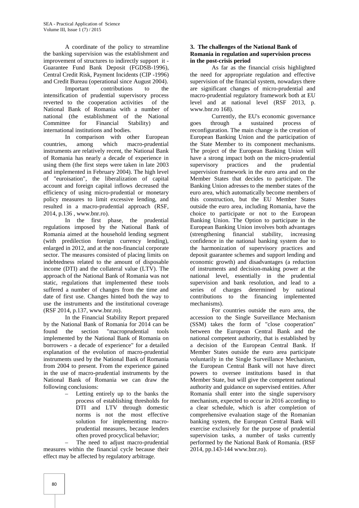A coordinate of the policy to streamline the banking supervision was the establishment and improvement of structures to indirectly support it - Guarantee Fund Bank Deposit (FGDSB-1996), Central Credit Risk, Payment Incidents (CIP -1996) and Credit Bureau (operational since August 2004).

Important contributions to the intensification of prudential supervisory process reverted to the cooperation activities of the National Bank of Romania with a number of national (the establishment of the National Committee for Financial Stability) and international institutions and bodies.

In comparison with other European countries, among which macro-prudential instruments are relatively recent, the National Bank of Romania has nearly a decade of experience in using them (the first steps were taken in late 2003 and implemented in February 2004). The high level of "euroisation", the liberalization of capital account and foreign capital inflows decreased the efficiency of using micro-prudential or monetary policy measures to limit excessive lending, and resulted in a macro-prudential approach (RSF, 2014, p.136 , www.bnr.ro).

In the first phase, the prudential regulations imposed by the National Bank of Romania aimed at the household lending segment (with predilection foreign currency lending), enlarged in 2012, and at the non-financial corporate sector. The measures consisted of placing limits on indebtedness related to the amount of disposable income (DTI) and the collateral value (LTV). The approach of the National Bank of Romania was not static, regulations that implemented these tools suffered a number of changes from the time and date of first use. Changes hinted both the way to use the instruments and the institutional coverage (RSF 2014, p.137, www.bnr.ro).

In the Financial Stability Report prepared by the National Bank of Romania for 2014 can be found the section "macroprudential tools implemented by the National Bank of Romania on borrowers - a decade of experience" for a detailed explanation of the evolution of macro-prudential instruments used by the National Bank of Romania from 2004 to present. From the experience gained in the use of macro-prudential instruments by the National Bank of Romania we can draw the following conclusions:

> – Letting entirely up to the banks the process of establishing thresholds for DTI and LTV through domestic norms is not the most effective solution for implementing macro prudential measures, because lenders often proved procyclical behavior;

The need to adjust macro-prudential measures within the financial cycle because their effect may be affected by regulatory arbitrage.

## **3. The challenges of the National Bank of Romania in regulation and supervision process in the post-crisis period**

As far as the financial crisis highlighted the need for appropriate regulation and effective supervision of the financial system, nowadays there are significant changes of micro-prudential and macro-prudential regulatory framework both at EU level and at national level (RSF 2013, p. www.bnr.ro 168).

Currently, the EU's economic governance through a sustained process of reconfiguration. The main change is the creation of European Banking Union and the participation of the State Member to its component mechanisms. The project of the European Banking Union will have a strong impact both on the micro-prudential supervisory practices and the prudential supervision framework in the euro area and on the Member States that decides to participate. The Banking Union adresses to the member states of the euro area, which automatically become members of this construction, but the EU Member States outside the euro area, including Romania, have the choice to participate or not to the European Banking Union. The Option to participate in the European Banking Union involves both advantages<br>
(strengthening financial stability, increasing (strengthening financial stability, increasing confidence in the national banking system due to the harmonization of supervisory practices and deposit guarantee schemes and support lending and economic growth) and disadvantages (a reduction of instruments and decision-making power at the national level, essentially in the prudential supervision and bank resolution, and lead to a series of charges determined by national contributions to the financing implemented mechanisms).

For countries outside the euro area, the accession to the Single Surveillance Mechanism (SSM) takes the form of "close cooperation" between the European Central Bank and the national competent authority, that is established by a decision of the European Central Bank. If Member States outside the euro area participate voluntarily in the Single Surveillance Mechanism, the European Central Bank will not have direct powers to oversee institutions based in that Member State, but will give the competent national authority and guidance on supervised entities. After Romania shall enter into the single supervisory mechanism, expected to occur in 2016 according to a clear schedule, which is after completion of comprehensive evaluation stage of the Romanian banking system, the European Central Bank will exercise exclusively for the purpose of prudential supervision tasks, a number of tasks currently performed by the National Bank of Romania. (RSF 2014, pp.143-144 www.bnr.ro).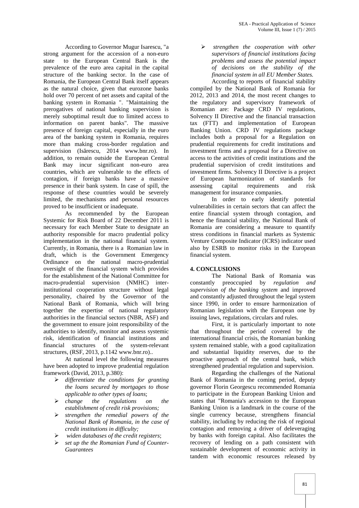According to Governor Mugur Isarescu, "a strong argument for the accession of a non-euro state to the European Central Bank is the prevalence of the euro area capital in the capital structure of the banking sector. In the case of Romania, the European Central Bank itself appears as the natural choice, given that eurozone banks hold over 70 percent of net assets and capital of the banking system in Romania ". "Maintaining the prerogatives of national banking supervision is merely suboptimal result due to limited access to information on parent banks". The massive presence of foreign capital, especially in the euro area of the banking system in Romania, requires more than making cross-border regulation and supervision (Is rescu,  $2014$  www.bnr.ro). In addition, to remain outside the European Central Bank may incur significant non-euro area countries, which are vulnerable to the effects of contagion, if foreign banks have a massive presence in their bank system. In case of spill, the response of these countries would be severely limited, the mechanisms and personal resources proved to be insufficient or inadequate.

As recommended by the European Systemic for Risk Board of 22 December 2011 is necessary for each Member State to designate an authority responsible for macro prudential policy implementation in the national financial system. Currently, in Romania, there is a Romanian law in draft, which is the Government Emergency Ordinance on the national macro-prudential oversight of the financial system which provides for the establishment of the National Committee for macro-prudential supervision (NMHC) interinstitutional cooperation structure without legal personality, chaired by the Governor of the National Bank of Romania, which will bring together the expertise of national regulatory authorities in the financial sectors (NBR, ASF) and the government to ensure joint responsibility of the authorities to identify, monitor and assess systemic risk, identification of financial institutions and financial structures of the system-relevant structures, (RSF, 2013, p.1142 www.bnr.ro)..

At national level the following measures have been adopted to improve prudential regulation framework (David, 2013, p.380):

- *differentiate the conditions for granting the loans secured by mortgages to those applicable to other types of loans*;
- *change the regulations on the establishment of credit risk provisions;*
- *strengthen the remedial powers of the National Bank of Romania, in the case of credit institutions in difficulty;*
- *widen databases of the credit registers*;
- *set up the the Romanian Fund of Counter- Guarantees*

 *strengthen the cooperation with other supervisors of financial institutions facing problems and assess the potential impact of decisions on the stability of the financial system in all EU Member States.* According to reports of financial stability

compiled by the National Bank of Romania for 2012, 2013 and 2014, the most recent changes to the regulatory and supervisory framework of Romanian are: Package CRD IV regulations, Solvency II Directive and the financial transaction tax (FTT) and implementation of European Banking Union. CRD IV regulations package includes both a proposal for a Regulation on prudential requirements for credit institutions and investment firms and a proposal for a Directive on access to the activities of credit institutions and the prudential supervision of credit institutions and investment firms. Solvency II Directive is a project of European harmonization of standards for assessing capital requirements and risk management for insurance companies.

In order to early identify potential vulnerabilities in certain sectors that can affect the entire financial system through contagion, and hence the financial stability, the National Bank of Romania are considering a measure to quantify stress conditions in financial markets as Systemic Venture Composite Indicator (ICRS) indicator used also by ESRB to monitor risks in the European financial system.

#### **4. CONCLUSIONS**

The National Bank of Romania was constantly preoccupied by *regulation and supervision of the banking system* and improved and constantly adjusted throughout the legal system since 1990, in order to ensure harmonization of Romanian legislation with the European one by issuing laws, regulations, circulars and rules.

First, it is particularly important to note that throughout the period covered by the international financial crisis, the Romanian banking system remained stable, with a good capitalization and substantial liquidity reserves, due to the proactive approach of the central bank, which strengthened prudential regulation and supervision.

Regarding the challenges of the National Bank of Romania in the coming period, deputy governor Florin Georgescu recommended Romania to participate in the European Banking Union and states that "Romania's accession to the European Banking Union is a landmark in the course of the single currency because, strengthens financial stability, including by reducing the risk of regional contagion and removing a driver of deleveraging by banks with foreign capital. Also facilitates the recovery of lending on a path consistent with sustainable development of economic activity in tandem with economic resources released by